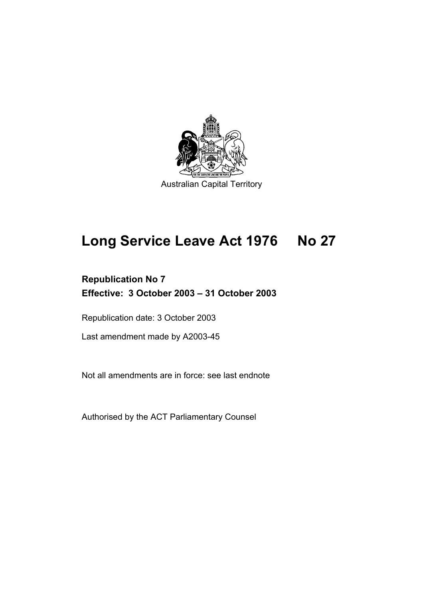

# **Long Service Leave Act 1976 No 27**

## **Republication No 7 Effective: 3 October 2003 – 31 October 2003**

Republication date: 3 October 2003

Last amendment made by A2003-45

Not all amendments are in force: see last endnote

Authorised by the ACT Parliamentary Counsel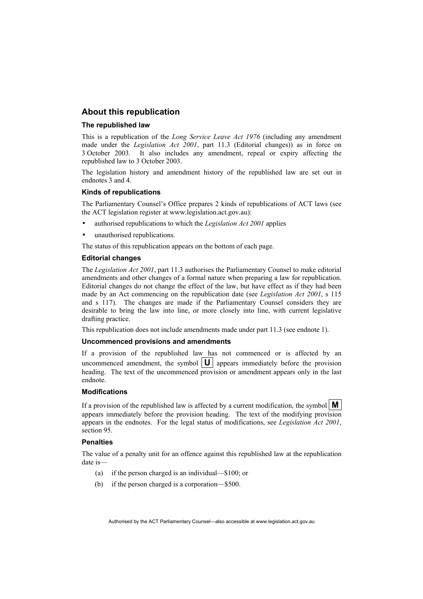#### **About this republication**

#### **The republished law**

This is a republication of the *Long Service Leave Act 1976* (including any amendment made under the *Legislation Act 2001*, part 11.3 (Editorial changes)) as in force on 3 October 2003*.* It also includes any amendment, repeal or expiry affecting the republished law to 3 October 2003.

The legislation history and amendment history of the republished law are set out in endnotes 3 and 4.

#### **Kinds of republications**

The Parliamentary Counsel's Office prepares 2 kinds of republications of ACT laws (see the ACT legislation register at www.legislation.act.gov.au):

- authorised republications to which the *Legislation Act 2001* applies
- unauthorised republications.

The status of this republication appears on the bottom of each page.

#### **Editorial changes**

The *Legislation Act 2001*, part 11.3 authorises the Parliamentary Counsel to make editorial amendments and other changes of a formal nature when preparing a law for republication. Editorial changes do not change the effect of the law, but have effect as if they had been made by an Act commencing on the republication date (see *Legislation Act 2001*, s 115 and s 117). The changes are made if the Parliamentary Counsel considers they are desirable to bring the law into line, or more closely into line, with current legislative drafting practice.

This republication does not include amendments made under part 11.3 (see endnote 1).

#### **Uncommenced provisions and amendments**

If a provision of the republished law has not commenced or is affected by an uncommenced amendment, the symbol  $|\mathbf{U}|$  appears immediately before the provision heading. The text of the uncommenced provision or amendment appears only in the last endnote.

#### **Modifications**

If a provision of the republished law is affected by a current modification, the symbol  $\mathbf{M}$ appears immediately before the provision heading. The text of the modifying provision appears in the endnotes. For the legal status of modifications, see *Legislation Act 2001*, section 95.

#### **Penalties**

The value of a penalty unit for an offence against this republished law at the republication date is—

- (a) if the person charged is an individual—\$100; or
- (b) if the person charged is a corporation—\$500.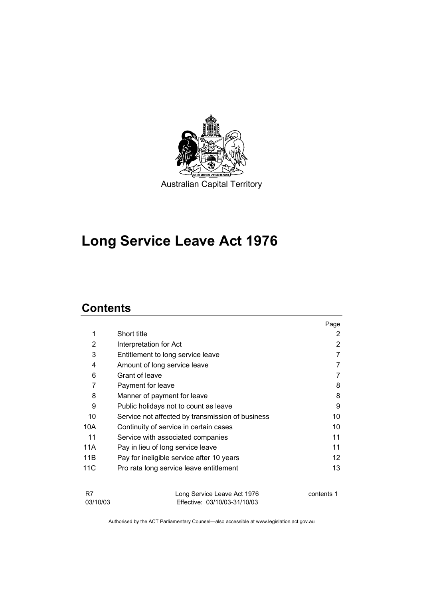

## **Long Service Leave Act 1976**

## **Contents**

|                |                                                             | Page              |
|----------------|-------------------------------------------------------------|-------------------|
| 1              | Short title                                                 | 2                 |
| 2              | Interpretation for Act                                      | 2                 |
| 3              | Entitlement to long service leave                           |                   |
| 4              | Amount of long service leave                                |                   |
| 6              | Grant of leave                                              |                   |
| 7              | Payment for leave                                           | 8                 |
| 8              | Manner of payment for leave                                 | 8                 |
| 9              | Public holidays not to count as leave                       | 9                 |
| 10             | Service not affected by transmission of business            | 10                |
| 10A            | Continuity of service in certain cases                      | 10                |
| 11             | Service with associated companies                           | 11                |
| 11A            | Pay in lieu of long service leave                           | 11                |
| 11B            | Pay for ineligible service after 10 years                   | $12 \overline{ }$ |
| 11C            | Pro rata long service leave entitlement                     | 13                |
| R7<br>03/10/03 | Long Service Leave Act 1976<br>Effective: 03/10/03-31/10/03 | contents 1        |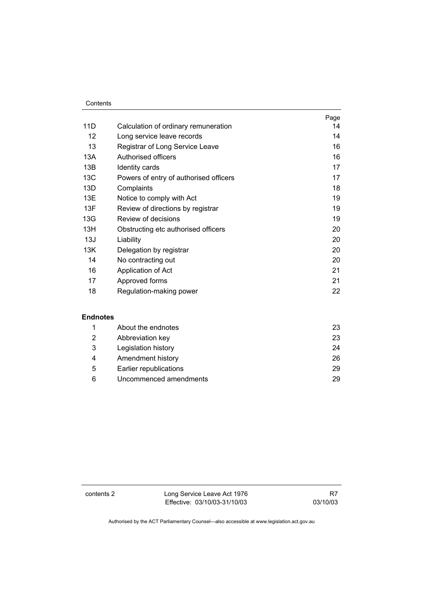#### **Contents**

|     |                                        | Page |
|-----|----------------------------------------|------|
| 11D | Calculation of ordinary remuneration   | 14   |
| 12  | Long service leave records             | 14   |
| 13  | Registrar of Long Service Leave        | 16   |
| 13A | Authorised officers                    | 16   |
| 13B | Identity cards                         | 17   |
| 13C | Powers of entry of authorised officers | 17   |
| 13D | Complaints                             | 18   |
| 13E | Notice to comply with Act              | 19   |
| 13F | Review of directions by registrar      | 19   |
| 13G | Review of decisions                    | 19   |
| 13H | Obstructing etc authorised officers    | 20   |
| 13J | Liability                              | 20   |
| 13K | Delegation by registrar                | 20   |
| 14  | No contracting out                     | 20   |
| 16  | Application of Act                     | 21   |
| 17  | Approved forms                         | 21   |
| 18  | Regulation-making power                | 22   |

### **Endnotes**

|   | About the endnotes     | 23 |
|---|------------------------|----|
| 2 | Abbreviation key       | 23 |
| 3 | Legislation history    | 24 |
| 4 | Amendment history      | 26 |
| 5 | Earlier republications | 29 |
| 6 | Uncommenced amendments | 29 |

contents 2 Long Service Leave Act 1976 Effective: 03/10/03-31/10/03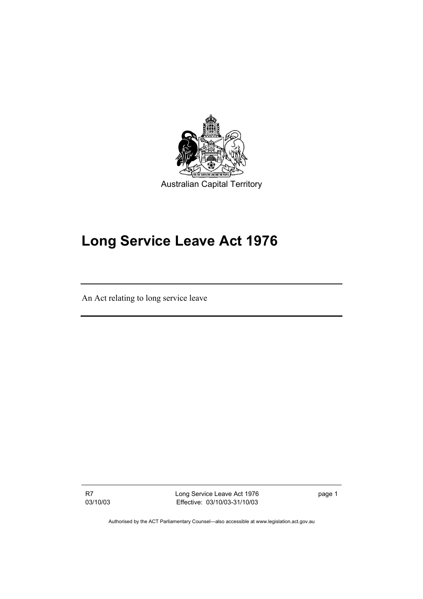

# **Long Service Leave Act 1976**

An Act relating to long service leave

R7 03/10/03 Long Service Leave Act 1976 Effective: 03/10/03-31/10/03 page 1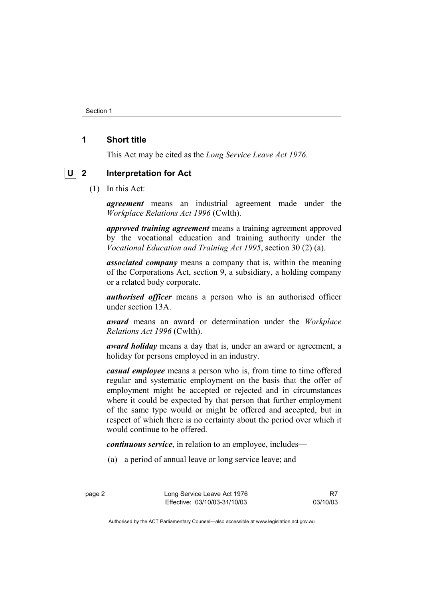Section 1

### **1 Short title**

This Act may be cited as the *Long Service Leave Act 1976*.

### **U 2 Interpretation for Act**

(1) In this Act:

*agreement* means an industrial agreement made under the *Workplace Relations Act 1996* (Cwlth).

*approved training agreement* means a training agreement approved by the vocational education and training authority under the *Vocational Education and Training Act 1995*, section 30 (2) (a).

*associated company* means a company that is, within the meaning of the Corporations Act, section 9, a subsidiary, a holding company or a related body corporate.

*authorised officer* means a person who is an authorised officer under section 13A.

*award* means an award or determination under the *Workplace Relations Act 1996* (Cwlth).

*award holiday* means a day that is, under an award or agreement, a holiday for persons employed in an industry.

*casual employee* means a person who is, from time to time offered regular and systematic employment on the basis that the offer of employment might be accepted or rejected and in circumstances where it could be expected by that person that further employment of the same type would or might be offered and accepted, but in respect of which there is no certainty about the period over which it would continue to be offered.

*continuous service*, in relation to an employee, includes—

(a) a period of annual leave or long service leave; and

page 2 Long Service Leave Act 1976 Effective: 03/10/03-31/10/03

R7 03/10/03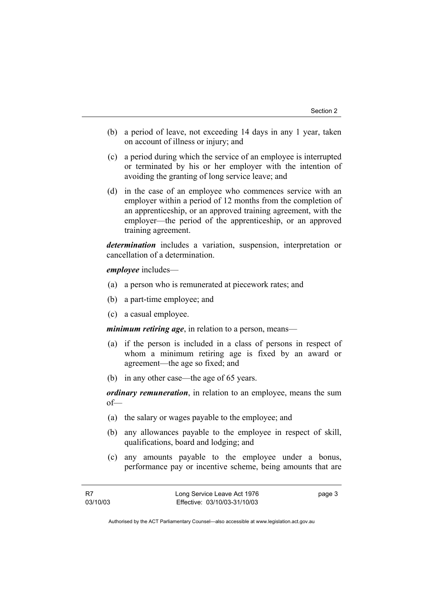- (b) a period of leave, not exceeding 14 days in any 1 year, taken on account of illness or injury; and
- (c) a period during which the service of an employee is interrupted or terminated by his or her employer with the intention of avoiding the granting of long service leave; and
- (d) in the case of an employee who commences service with an employer within a period of 12 months from the completion of an apprenticeship, or an approved training agreement, with the employer—the period of the apprenticeship, or an approved training agreement.

*determination* includes a variation, suspension, interpretation or cancellation of a determination.

*employee* includes—

- (a) a person who is remunerated at piecework rates; and
- (b) a part-time employee; and
- (c) a casual employee.

*minimum retiring age*, in relation to a person, means—

- (a) if the person is included in a class of persons in respect of whom a minimum retiring age is fixed by an award or agreement—the age so fixed; and
- (b) in any other case—the age of 65 years.

*ordinary remuneration*, in relation to an employee, means the sum of—

- (a) the salary or wages payable to the employee; and
- (b) any allowances payable to the employee in respect of skill, qualifications, board and lodging; and
- (c) any amounts payable to the employee under a bonus, performance pay or incentive scheme, being amounts that are

page 3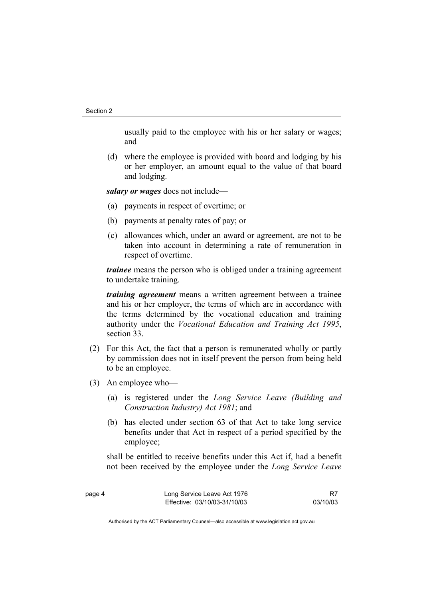usually paid to the employee with his or her salary or wages; and

 (d) where the employee is provided with board and lodging by his or her employer, an amount equal to the value of that board and lodging.

*salary or wages* does not include—

- (a) payments in respect of overtime; or
- (b) payments at penalty rates of pay; or
- (c) allowances which, under an award or agreement, are not to be taken into account in determining a rate of remuneration in respect of overtime.

*trainee* means the person who is obliged under a training agreement to undertake training.

*training agreement* means a written agreement between a trainee and his or her employer, the terms of which are in accordance with the terms determined by the vocational education and training authority under the *Vocational Education and Training Act 1995*, section 33.

- (2) For this Act, the fact that a person is remunerated wholly or partly by commission does not in itself prevent the person from being held to be an employee.
- (3) An employee who—
	- (a) is registered under the *Long Service Leave (Building and Construction Industry) Act 1981*; and
	- (b) has elected under section 63 of that Act to take long service benefits under that Act in respect of a period specified by the employee;

shall be entitled to receive benefits under this Act if, had a benefit not been received by the employee under the *Long Service Leave* 

R7 03/10/03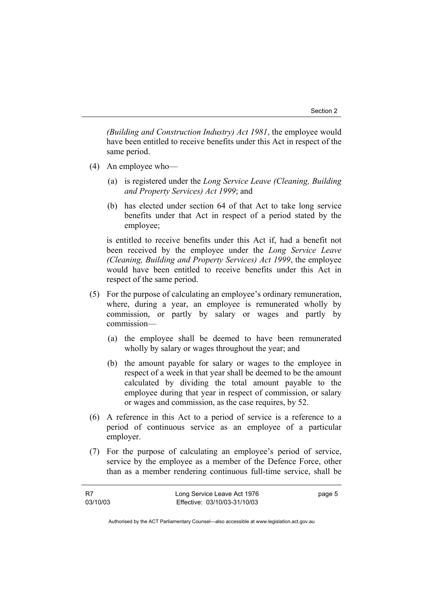*(Building and Construction Industry) Act 1981*, the employee would have been entitled to receive benefits under this Act in respect of the same period.

- (4) An employee who—
	- (a) is registered under the *Long Service Leave (Cleaning, Building and Property Services) Act 1999*; and
	- (b) has elected under section 64 of that Act to take long service benefits under that Act in respect of a period stated by the employee;

is entitled to receive benefits under this Act if, had a benefit not been received by the employee under the *Long Service Leave (Cleaning, Building and Property Services) Act 1999*, the employee would have been entitled to receive benefits under this Act in respect of the same period.

- (5) For the purpose of calculating an employee's ordinary remuneration, where, during a year, an employee is remunerated wholly by commission, or partly by salary or wages and partly by commission—
	- (a) the employee shall be deemed to have been remunerated wholly by salary or wages throughout the year; and
	- (b) the amount payable for salary or wages to the employee in respect of a week in that year shall be deemed to be the amount calculated by dividing the total amount payable to the employee during that year in respect of commission, or salary or wages and commission, as the case requires, by 52.
- (6) A reference in this Act to a period of service is a reference to a period of continuous service as an employee of a particular employer.
- (7) For the purpose of calculating an employee's period of service, service by the employee as a member of the Defence Force, other than as a member rendering continuous full-time service, shall be

| - R7     | Long Service Leave Act 1976  | page 5 |
|----------|------------------------------|--------|
| 03/10/03 | Effective: 03/10/03-31/10/03 |        |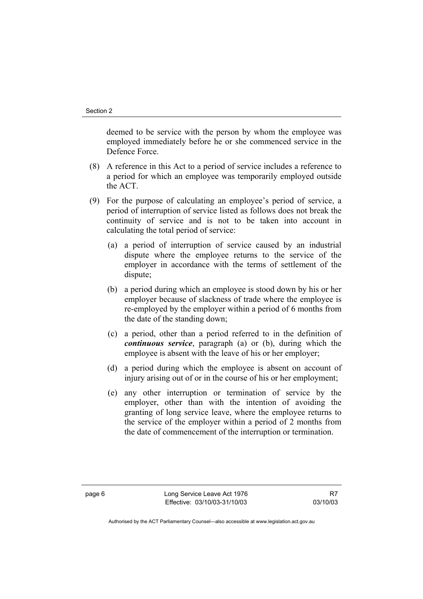deemed to be service with the person by whom the employee was employed immediately before he or she commenced service in the Defence Force.

- (8) A reference in this Act to a period of service includes a reference to a period for which an employee was temporarily employed outside the ACT.
- (9) For the purpose of calculating an employee's period of service, a period of interruption of service listed as follows does not break the continuity of service and is not to be taken into account in calculating the total period of service:
	- (a) a period of interruption of service caused by an industrial dispute where the employee returns to the service of the employer in accordance with the terms of settlement of the dispute;
	- (b) a period during which an employee is stood down by his or her employer because of slackness of trade where the employee is re-employed by the employer within a period of 6 months from the date of the standing down;
	- (c) a period, other than a period referred to in the definition of *continuous service*, paragraph (a) or (b), during which the employee is absent with the leave of his or her employer;
	- (d) a period during which the employee is absent on account of injury arising out of or in the course of his or her employment:
	- (e) any other interruption or termination of service by the employer, other than with the intention of avoiding the granting of long service leave, where the employee returns to the service of the employer within a period of 2 months from the date of commencement of the interruption or termination.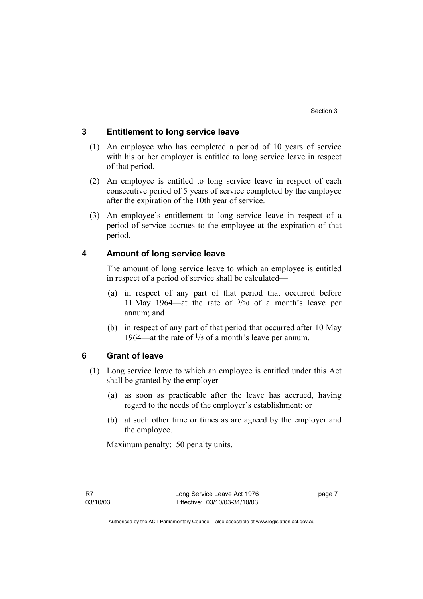### **3 Entitlement to long service leave**

- (1) An employee who has completed a period of 10 years of service with his or her employer is entitled to long service leave in respect of that period.
- (2) An employee is entitled to long service leave in respect of each consecutive period of 5 years of service completed by the employee after the expiration of the 10th year of service.
- (3) An employee's entitlement to long service leave in respect of a period of service accrues to the employee at the expiration of that period.

### **4 Amount of long service leave**

The amount of long service leave to which an employee is entitled in respect of a period of service shall be calculated—

- (a) in respect of any part of that period that occurred before 11 May 1964—at the rate of 3/20 of a month's leave per annum; and
- (b) in respect of any part of that period that occurred after 10 May 1964—at the rate of  $\frac{1}{5}$  of a month's leave per annum.

### **6 Grant of leave**

- (1) Long service leave to which an employee is entitled under this Act shall be granted by the employer—
	- (a) as soon as practicable after the leave has accrued, having regard to the needs of the employer's establishment; or
	- (b) at such other time or times as are agreed by the employer and the employee.

Maximum penalty: 50 penalty units.

page 7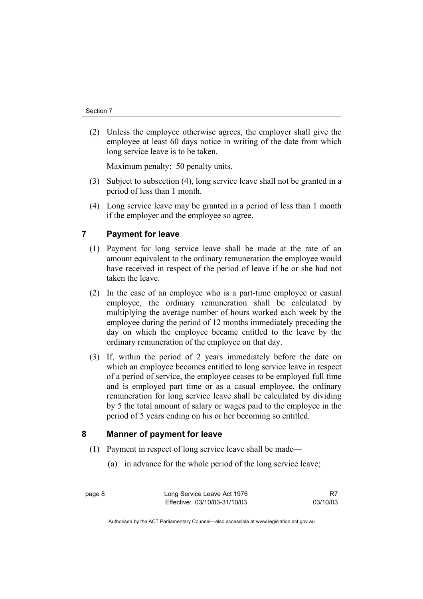(2) Unless the employee otherwise agrees, the employer shall give the employee at least 60 days notice in writing of the date from which long service leave is to be taken.

Maximum penalty: 50 penalty units.

- (3) Subject to subsection (4), long service leave shall not be granted in a period of less than 1 month.
- (4) Long service leave may be granted in a period of less than 1 month if the employer and the employee so agree.

### **7 Payment for leave**

- (1) Payment for long service leave shall be made at the rate of an amount equivalent to the ordinary remuneration the employee would have received in respect of the period of leave if he or she had not taken the leave.
- (2) In the case of an employee who is a part-time employee or casual employee, the ordinary remuneration shall be calculated by multiplying the average number of hours worked each week by the employee during the period of 12 months immediately preceding the day on which the employee became entitled to the leave by the ordinary remuneration of the employee on that day.
- (3) If, within the period of 2 years immediately before the date on which an employee becomes entitled to long service leave in respect of a period of service, the employee ceases to be employed full time and is employed part time or as a casual employee, the ordinary remuneration for long service leave shall be calculated by dividing by 5 the total amount of salary or wages paid to the employee in the period of 5 years ending on his or her becoming so entitled.

### **8 Manner of payment for leave**

- (1) Payment in respect of long service leave shall be made—
	- (a) in advance for the whole period of the long service leave;

page 8 Long Service Leave Act 1976 Effective: 03/10/03-31/10/03

R7 03/10/03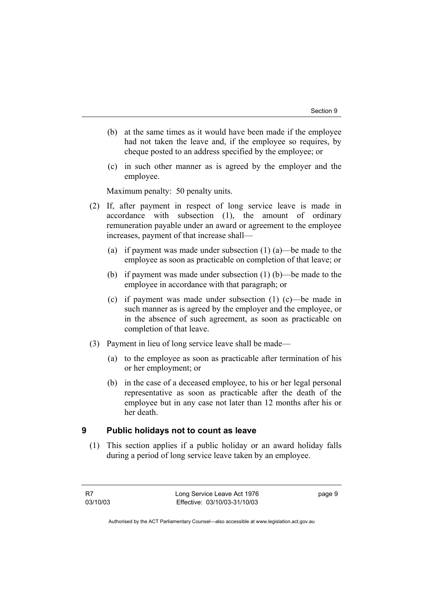- (b) at the same times as it would have been made if the employee had not taken the leave and, if the employee so requires, by cheque posted to an address specified by the employee; or
- (c) in such other manner as is agreed by the employer and the employee.

Maximum penalty: 50 penalty units.

- (2) If, after payment in respect of long service leave is made in accordance with subsection (1), the amount of ordinary remuneration payable under an award or agreement to the employee increases, payment of that increase shall—
	- (a) if payment was made under subsection (1) (a)—be made to the employee as soon as practicable on completion of that leave; or
	- (b) if payment was made under subsection (1) (b)—be made to the employee in accordance with that paragraph; or
	- (c) if payment was made under subsection (1) (c)—be made in such manner as is agreed by the employer and the employee, or in the absence of such agreement, as soon as practicable on completion of that leave.
- (3) Payment in lieu of long service leave shall be made—
	- (a) to the employee as soon as practicable after termination of his or her employment; or
	- (b) in the case of a deceased employee, to his or her legal personal representative as soon as practicable after the death of the employee but in any case not later than 12 months after his or her death.

### **9 Public holidays not to count as leave**

 (1) This section applies if a public holiday or an award holiday falls during a period of long service leave taken by an employee.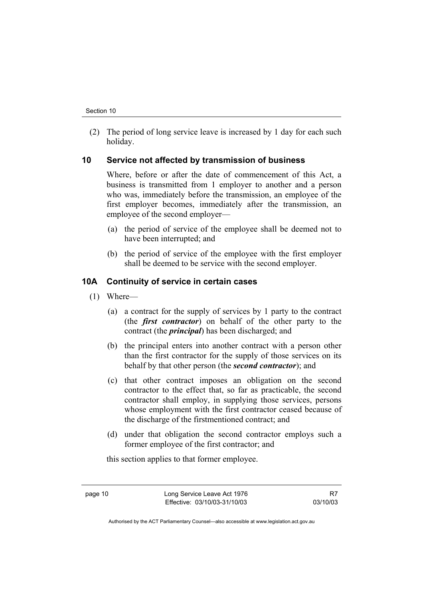(2) The period of long service leave is increased by 1 day for each such holiday.

### **10 Service not affected by transmission of business**

Where, before or after the date of commencement of this Act, a business is transmitted from 1 employer to another and a person who was, immediately before the transmission, an employee of the first employer becomes, immediately after the transmission, an employee of the second employer—

- (a) the period of service of the employee shall be deemed not to have been interrupted; and
- (b) the period of service of the employee with the first employer shall be deemed to be service with the second employer.

### **10A Continuity of service in certain cases**

- (1) Where—
	- (a) a contract for the supply of services by 1 party to the contract (the *first contractor*) on behalf of the other party to the contract (the *principal*) has been discharged; and
	- (b) the principal enters into another contract with a person other than the first contractor for the supply of those services on its behalf by that other person (the *second contractor*); and
	- (c) that other contract imposes an obligation on the second contractor to the effect that, so far as practicable, the second contractor shall employ, in supplying those services, persons whose employment with the first contractor ceased because of the discharge of the firstmentioned contract; and
	- (d) under that obligation the second contractor employs such a former employee of the first contractor; and

this section applies to that former employee.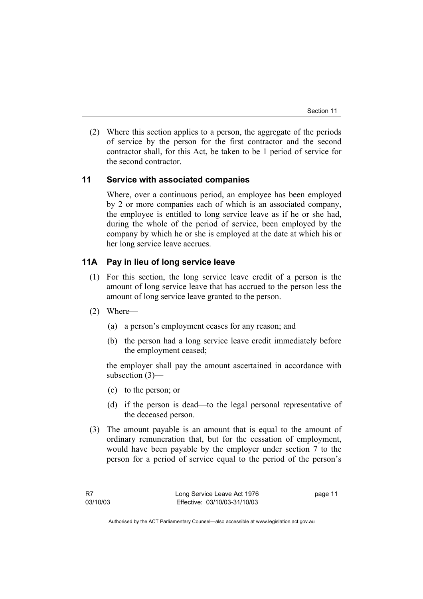(2) Where this section applies to a person, the aggregate of the periods of service by the person for the first contractor and the second contractor shall, for this Act, be taken to be 1 period of service for the second contractor.

### **11 Service with associated companies**

Where, over a continuous period, an employee has been employed by 2 or more companies each of which is an associated company, the employee is entitled to long service leave as if he or she had, during the whole of the period of service, been employed by the company by which he or she is employed at the date at which his or her long service leave accrues.

### **11A Pay in lieu of long service leave**

- (1) For this section, the long service leave credit of a person is the amount of long service leave that has accrued to the person less the amount of long service leave granted to the person.
- (2) Where—
	- (a) a person's employment ceases for any reason; and
	- (b) the person had a long service leave credit immediately before the employment ceased;

the employer shall pay the amount ascertained in accordance with subsection (3)—

- (c) to the person; or
- (d) if the person is dead—to the legal personal representative of the deceased person.
- (3) The amount payable is an amount that is equal to the amount of ordinary remuneration that, but for the cessation of employment, would have been payable by the employer under section 7 to the person for a period of service equal to the period of the person's

page 11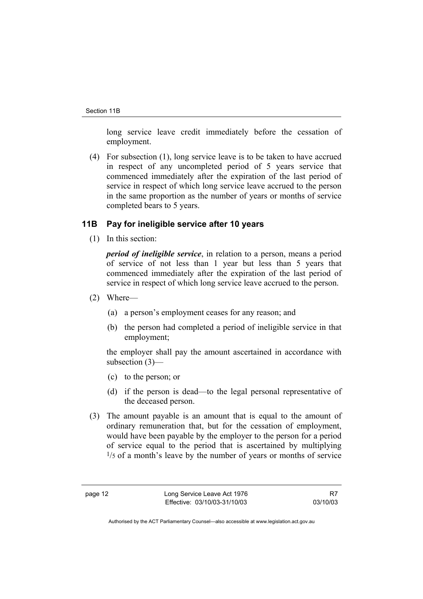long service leave credit immediately before the cessation of employment.

 (4) For subsection (1), long service leave is to be taken to have accrued in respect of any uncompleted period of 5 years service that commenced immediately after the expiration of the last period of service in respect of which long service leave accrued to the person in the same proportion as the number of years or months of service completed bears to 5 years.

#### **11B Pay for ineligible service after 10 years**

(1) In this section:

*period of ineligible service*, in relation to a person, means a period of service of not less than 1 year but less than 5 years that commenced immediately after the expiration of the last period of service in respect of which long service leave accrued to the person.

- (2) Where—
	- (a) a person's employment ceases for any reason; and
	- (b) the person had completed a period of ineligible service in that employment;

the employer shall pay the amount ascertained in accordance with subsection (3)—

- (c) to the person; or
- (d) if the person is dead—to the legal personal representative of the deceased person.
- (3) The amount payable is an amount that is equal to the amount of ordinary remuneration that, but for the cessation of employment, would have been payable by the employer to the person for a period of service equal to the period that is ascertained by multiplying  $1/5$  of a month's leave by the number of years or months of service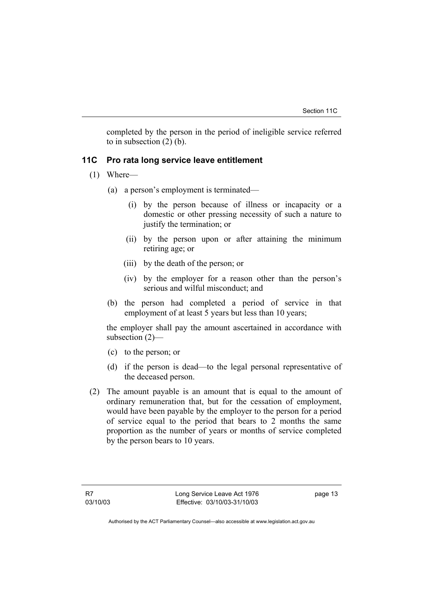completed by the person in the period of ineligible service referred to in subsection (2) (b).

### **11C Pro rata long service leave entitlement**

- (1) Where—
	- (a) a person's employment is terminated—
		- (i) by the person because of illness or incapacity or a domestic or other pressing necessity of such a nature to justify the termination; or
		- (ii) by the person upon or after attaining the minimum retiring age; or
		- (iii) by the death of the person; or
		- (iv) by the employer for a reason other than the person's serious and wilful misconduct; and
	- (b) the person had completed a period of service in that employment of at least 5 years but less than 10 years;

the employer shall pay the amount ascertained in accordance with subsection (2)—

- (c) to the person; or
- (d) if the person is dead—to the legal personal representative of the deceased person.
- (2) The amount payable is an amount that is equal to the amount of ordinary remuneration that, but for the cessation of employment, would have been payable by the employer to the person for a period of service equal to the period that bears to 2 months the same proportion as the number of years or months of service completed by the person bears to 10 years.

page 13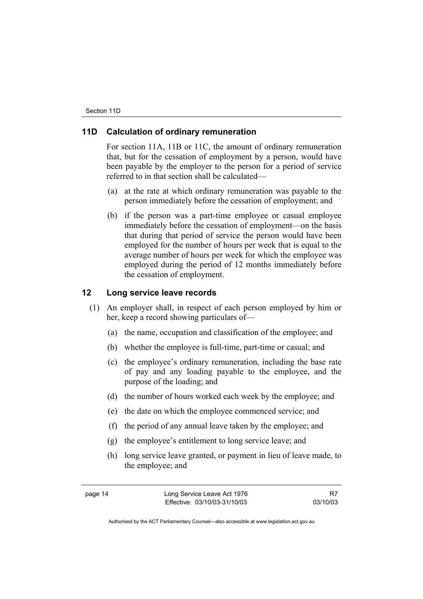### **11D Calculation of ordinary remuneration**

For section 11A, 11B or 11C, the amount of ordinary remuneration that, but for the cessation of employment by a person, would have been payable by the employer to the person for a period of service referred to in that section shall be calculated—

- (a) at the rate at which ordinary remuneration was payable to the person immediately before the cessation of employment; and
- (b) if the person was a part-time employee or casual employee immediately before the cessation of employment—on the basis that during that period of service the person would have been employed for the number of hours per week that is equal to the average number of hours per week for which the employee was employed during the period of 12 months immediately before the cessation of employment.

### **12 Long service leave records**

- (1) An employer shall, in respect of each person employed by him or her, keep a record showing particulars of—
	- (a) the name, occupation and classification of the employee; and
	- (b) whether the employee is full-time, part-time or casual; and
	- (c) the employee's ordinary remuneration, including the base rate of pay and any loading payable to the employee, and the purpose of the loading; and
	- (d) the number of hours worked each week by the employee; and
	- (e) the date on which the employee commenced service; and
	- (f) the period of any annual leave taken by the employee; and
	- (g) the employee's entitlement to long service leave; and
	- (h) long service leave granted, or payment in lieu of leave made, to the employee; and

R7 03/10/03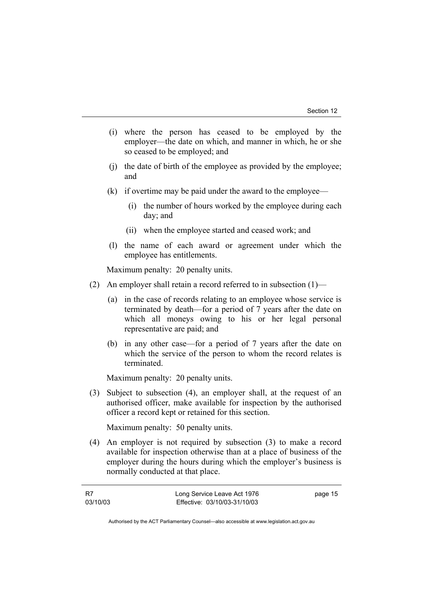- (i) where the person has ceased to be employed by the employer—the date on which, and manner in which, he or she so ceased to be employed; and
- (j) the date of birth of the employee as provided by the employee; and
- (k) if overtime may be paid under the award to the employee—
	- (i) the number of hours worked by the employee during each day; and
	- (ii) when the employee started and ceased work; and
- (l) the name of each award or agreement under which the employee has entitlements.

Maximum penalty: 20 penalty units.

- (2) An employer shall retain a record referred to in subsection (1)—
	- (a) in the case of records relating to an employee whose service is terminated by death—for a period of 7 years after the date on which all moneys owing to his or her legal personal representative are paid; and
	- (b) in any other case—for a period of 7 years after the date on which the service of the person to whom the record relates is terminated.

Maximum penalty: 20 penalty units.

 (3) Subject to subsection (4), an employer shall, at the request of an authorised officer, make available for inspection by the authorised officer a record kept or retained for this section.

Maximum penalty: 50 penalty units.

 (4) An employer is not required by subsection (3) to make a record available for inspection otherwise than at a place of business of the employer during the hours during which the employer's business is normally conducted at that place.

| - R7     | Long Service Leave Act 1976  | page 15 |
|----------|------------------------------|---------|
| 03/10/03 | Effective: 03/10/03-31/10/03 |         |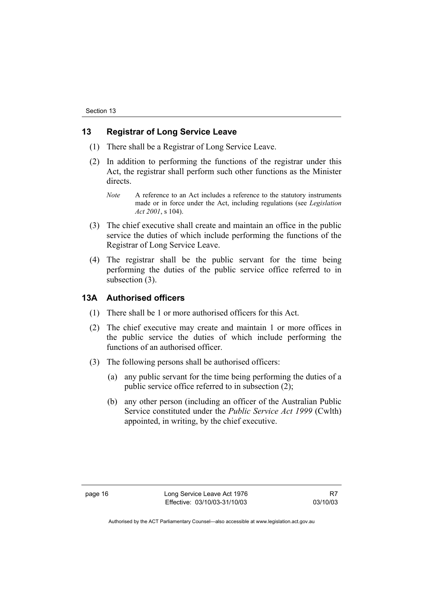#### **13 Registrar of Long Service Leave**

- (1) There shall be a Registrar of Long Service Leave.
- (2) In addition to performing the functions of the registrar under this Act, the registrar shall perform such other functions as the Minister directs.
	- *Note* A reference to an Act includes a reference to the statutory instruments made or in force under the Act, including regulations (see *Legislation Act 2001*, s 104).
- (3) The chief executive shall create and maintain an office in the public service the duties of which include performing the functions of the Registrar of Long Service Leave.
- (4) The registrar shall be the public servant for the time being performing the duties of the public service office referred to in subsection (3).

#### **13A Authorised officers**

- (1) There shall be 1 or more authorised officers for this Act.
- (2) The chief executive may create and maintain 1 or more offices in the public service the duties of which include performing the functions of an authorised officer.
- (3) The following persons shall be authorised officers:
	- (a) any public servant for the time being performing the duties of a public service office referred to in subsection (2);
	- (b) any other person (including an officer of the Australian Public Service constituted under the *Public Service Act 1999* (Cwlth) appointed, in writing, by the chief executive.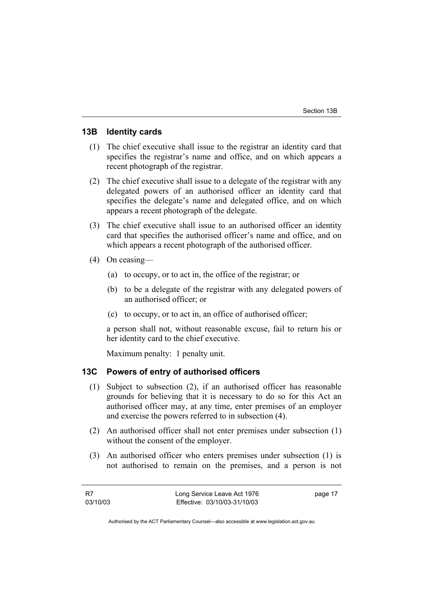#### **13B Identity cards**

- (1) The chief executive shall issue to the registrar an identity card that specifies the registrar's name and office, and on which appears a recent photograph of the registrar.
- (2) The chief executive shall issue to a delegate of the registrar with any delegated powers of an authorised officer an identity card that specifies the delegate's name and delegated office, and on which appears a recent photograph of the delegate.
- (3) The chief executive shall issue to an authorised officer an identity card that specifies the authorised officer's name and office, and on which appears a recent photograph of the authorised officer.
- (4) On ceasing—
	- (a) to occupy, or to act in, the office of the registrar; or
	- (b) to be a delegate of the registrar with any delegated powers of an authorised officer; or
	- (c) to occupy, or to act in, an office of authorised officer;

a person shall not, without reasonable excuse, fail to return his or her identity card to the chief executive.

Maximum penalty: 1 penalty unit.

### **13C Powers of entry of authorised officers**

- (1) Subject to subsection (2), if an authorised officer has reasonable grounds for believing that it is necessary to do so for this Act an authorised officer may, at any time, enter premises of an employer and exercise the powers referred to in subsection (4).
- (2) An authorised officer shall not enter premises under subsection (1) without the consent of the employer.
- (3) An authorised officer who enters premises under subsection (1) is not authorised to remain on the premises, and a person is not

| - R7     | Long Service Leave Act 1976  | page 17 |
|----------|------------------------------|---------|
| 03/10/03 | Effective: 03/10/03-31/10/03 |         |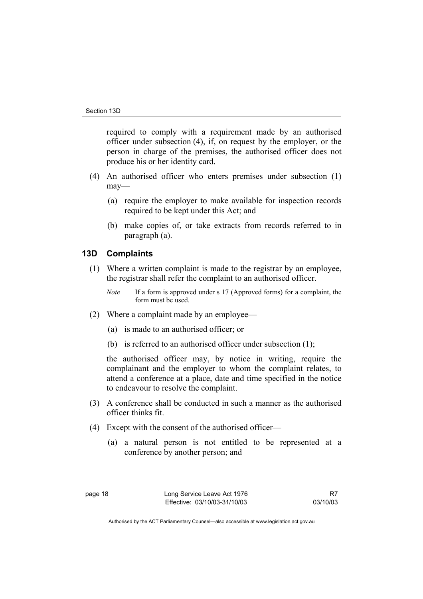required to comply with a requirement made by an authorised officer under subsection (4), if, on request by the employer, or the person in charge of the premises, the authorised officer does not produce his or her identity card.

- (4) An authorised officer who enters premises under subsection (1) may—
	- (a) require the employer to make available for inspection records required to be kept under this Act; and
	- (b) make copies of, or take extracts from records referred to in paragraph (a).

#### **13D Complaints**

- (1) Where a written complaint is made to the registrar by an employee, the registrar shall refer the complaint to an authorised officer.
	- *Note* If a form is approved under s 17 (Approved forms) for a complaint, the form must be used.
- (2) Where a complaint made by an employee—
	- (a) is made to an authorised officer; or
	- (b) is referred to an authorised officer under subsection (1);

the authorised officer may, by notice in writing, require the complainant and the employer to whom the complaint relates, to attend a conference at a place, date and time specified in the notice to endeavour to resolve the complaint.

- (3) A conference shall be conducted in such a manner as the authorised officer thinks fit.
- (4) Except with the consent of the authorised officer—
	- (a) a natural person is not entitled to be represented at a conference by another person; and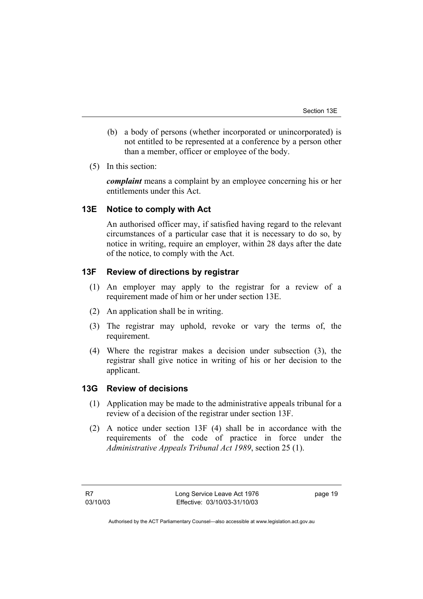- (b) a body of persons (whether incorporated or unincorporated) is not entitled to be represented at a conference by a person other than a member, officer or employee of the body.
- (5) In this section:

*complaint* means a complaint by an employee concerning his or her entitlements under this Act.

### **13E Notice to comply with Act**

An authorised officer may, if satisfied having regard to the relevant circumstances of a particular case that it is necessary to do so, by notice in writing, require an employer, within 28 days after the date of the notice, to comply with the Act.

### **13F Review of directions by registrar**

- (1) An employer may apply to the registrar for a review of a requirement made of him or her under section 13E.
- (2) An application shall be in writing.
- (3) The registrar may uphold, revoke or vary the terms of, the requirement.
- (4) Where the registrar makes a decision under subsection (3), the registrar shall give notice in writing of his or her decision to the applicant.

### **13G Review of decisions**

- (1) Application may be made to the administrative appeals tribunal for a review of a decision of the registrar under section 13F.
- (2) A notice under section 13F (4) shall be in accordance with the requirements of the code of practice in force under the *Administrative Appeals Tribunal Act 1989*, section 25 (1).

page 19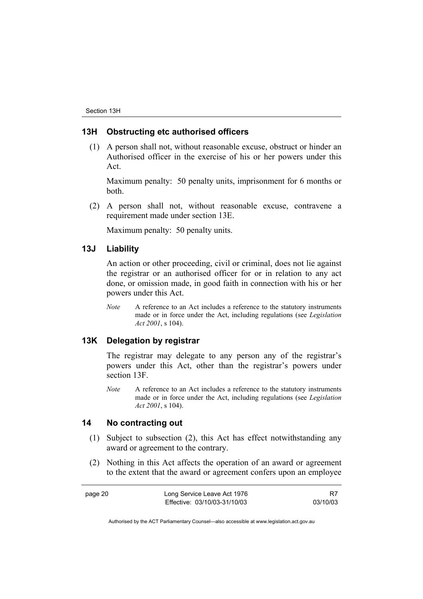#### **13H Obstructing etc authorised officers**

 (1) A person shall not, without reasonable excuse, obstruct or hinder an Authorised officer in the exercise of his or her powers under this Act.

Maximum penalty: 50 penalty units, imprisonment for 6 months or both.

 (2) A person shall not, without reasonable excuse, contravene a requirement made under section 13E.

Maximum penalty: 50 penalty units.

#### **13J Liability**

An action or other proceeding, civil or criminal, does not lie against the registrar or an authorised officer for or in relation to any act done, or omission made, in good faith in connection with his or her powers under this Act.

*Note* A reference to an Act includes a reference to the statutory instruments made or in force under the Act, including regulations (see *Legislation Act 2001*, s 104).

### **13K Delegation by registrar**

The registrar may delegate to any person any of the registrar's powers under this Act, other than the registrar's powers under section 13F.

*Note* A reference to an Act includes a reference to the statutory instruments made or in force under the Act, including regulations (see *Legislation Act 2001*, s 104).

### **14 No contracting out**

- (1) Subject to subsection (2), this Act has effect notwithstanding any award or agreement to the contrary.
- (2) Nothing in this Act affects the operation of an award or agreement to the extent that the award or agreement confers upon an employee

| page 20 | Long Service Leave Act 1976  |          |
|---------|------------------------------|----------|
|         | Effective: 03/10/03-31/10/03 | 03/10/03 |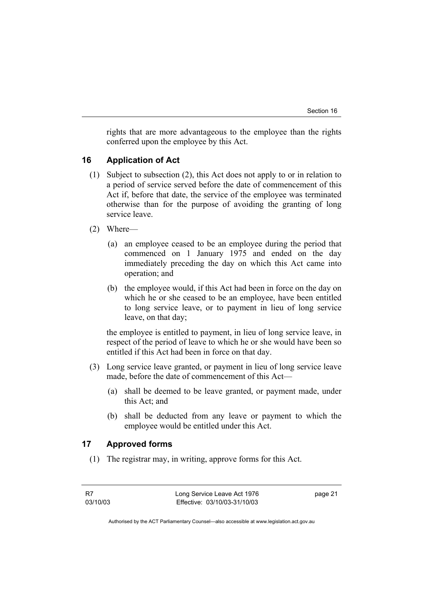rights that are more advantageous to the employee than the rights conferred upon the employee by this Act.

### **16 Application of Act**

- (1) Subject to subsection (2), this Act does not apply to or in relation to a period of service served before the date of commencement of this Act if, before that date, the service of the employee was terminated otherwise than for the purpose of avoiding the granting of long service leave.
- (2) Where—
	- (a) an employee ceased to be an employee during the period that commenced on 1 January 1975 and ended on the day immediately preceding the day on which this Act came into operation; and
	- (b) the employee would, if this Act had been in force on the day on which he or she ceased to be an employee, have been entitled to long service leave, or to payment in lieu of long service leave, on that day;

the employee is entitled to payment, in lieu of long service leave, in respect of the period of leave to which he or she would have been so entitled if this Act had been in force on that day.

- (3) Long service leave granted, or payment in lieu of long service leave made, before the date of commencement of this Act—
	- (a) shall be deemed to be leave granted, or payment made, under this Act; and
	- (b) shall be deducted from any leave or payment to which the employee would be entitled under this Act.

### **17 Approved forms**

(1) The registrar may, in writing, approve forms for this Act.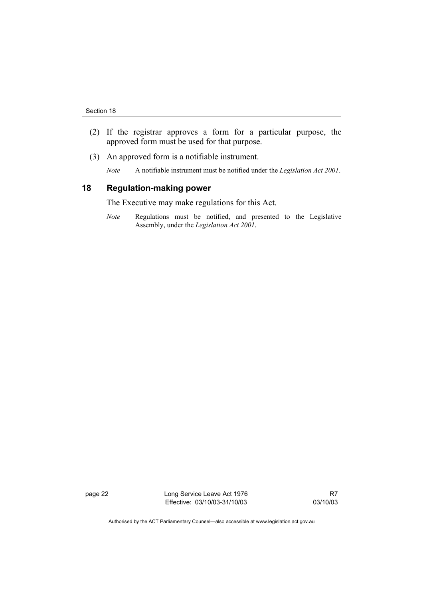- (2) If the registrar approves a form for a particular purpose, the approved form must be used for that purpose.
- (3) An approved form is a notifiable instrument.
	- *Note* A notifiable instrument must be notified under the *Legislation Act 2001*.

#### **18 Regulation-making power**

The Executive may make regulations for this Act.

*Note* Regulations must be notified, and presented to the Legislative Assembly, under the *Legislation Act 2001*.

page 22 **Long Service Leave Act 1976** Effective: 03/10/03-31/10/03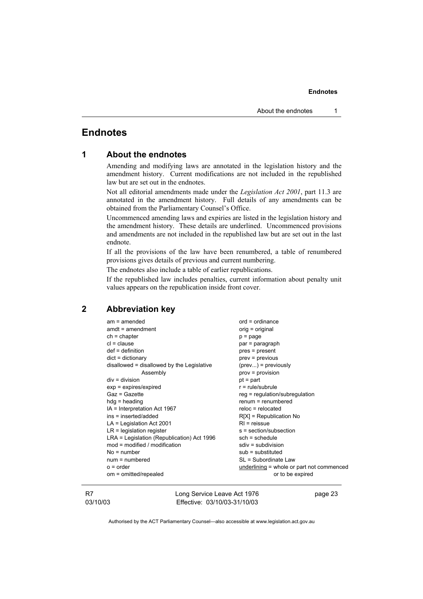### **Endnotes**

| 1 |  |  | <b>About the endnotes</b> |
|---|--|--|---------------------------|
|---|--|--|---------------------------|

Amending and modifying laws are annotated in the legislation history and the amendment history. Current modifications are not included in the republished law but are set out in the endnotes.

Not all editorial amendments made under the *Legislation Act 2001*, part 11.3 are annotated in the amendment history. Full details of any amendments can be obtained from the Parliamentary Counsel's Office.

Uncommenced amending laws and expiries are listed in the legislation history and the amendment history. These details are underlined. Uncommenced provisions and amendments are not included in the republished law but are set out in the last endnote.

If all the provisions of the law have been renumbered, a table of renumbered provisions gives details of previous and current numbering.

The endnotes also include a table of earlier republications.

If the republished law includes penalties, current information about penalty unit values appears on the republication inside front cover.

### **2 Abbreviation key**

| $am = amended$                             | $ord = ordinance$                         |
|--------------------------------------------|-------------------------------------------|
| $amdt = amendment$                         | orig = original                           |
| $ch = chapter$                             | $p = page$                                |
| $cl = clause$                              | par = paragraph                           |
| $def = definition$                         | $pres = present$                          |
| $dict = dictionary$                        | $prev = previous$                         |
| disallowed = disallowed by the Legislative | $(\text{prev})$ = previously              |
| Assembly                                   | $prov = provision$                        |
| $div = division$                           | $pt = part$                               |
| $exp = expires/expired$                    | $r = rule/subrule$                        |
| Gaz = Gazette                              | $reg = regulation/subregulation$          |
| $hdg =$ heading                            | $remum = renumbered$                      |
| IA = Interpretation Act 1967               | $reloc = relocated$                       |
| ins = inserted/added                       | $R[X]$ = Republication No                 |
| $LA =$ Legislation Act 2001                | $RI = reissue$                            |
| $LR =$ legislation register                | s = section/subsection                    |
| LRA = Legislation (Republication) Act 1996 | $sch = schedule$                          |
| mod = modified / modification              | $sdiv = subdivision$                      |
| $No = number$                              | $sub =$ substituted                       |
| $num = numbered$                           | SL = Subordinate Law                      |
| $o = order$                                | underlining = whole or part not commenced |
| om = omitted/repealed                      | or to be expired                          |
|                                            |                                           |

R7 03/10/03 Long Service Leave Act 1976 Effective: 03/10/03-31/10/03

page 23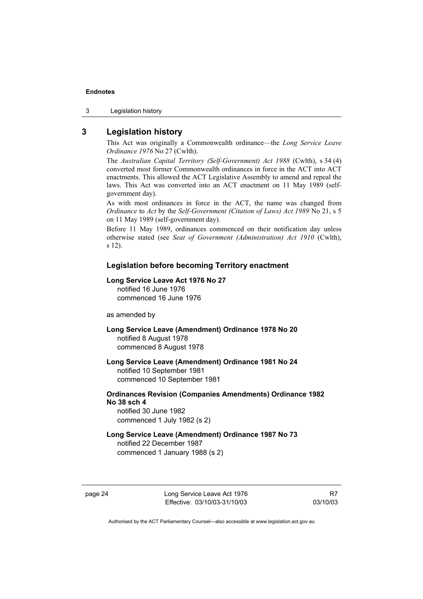3 Legislation history

### **3 Legislation history**

This Act was originally a Commonwealth ordinance—the *Long Service Leave Ordinance 1976* No 27 (Cwlth).

The *Australian Capital Territory (Self-Government) Act 1988* (Cwlth), s 34 (4) converted most former Commonwealth ordinances in force in the ACT into ACT enactments. This allowed the ACT Legislative Assembly to amend and repeal the laws. This Act was converted into an ACT enactment on 11 May 1989 (selfgovernment day).

As with most ordinances in force in the ACT, the name was changed from *Ordinance* to *Act* by the *Self-Government (Citation of Laws) Act 1989* No 21, s 5 on 11 May 1989 (self-government day).

Before 11 May 1989, ordinances commenced on their notification day unless otherwise stated (see *Seat of Government (Administration) Act 1910* (Cwlth), s 12).

#### **Legislation before becoming Territory enactment**

#### **Long Service Leave Act 1976 No 27**

notified 16 June 1976 commenced 16 June 1976

#### as amended by

- **Long Service Leave (Amendment) Ordinance 1978 No 20**  notified 8 August 1978 commenced 8 August 1978
- **Long Service Leave (Amendment) Ordinance 1981 No 24**  notified 10 September 1981 commenced 10 September 1981
- **Ordinances Revision (Companies Amendments) Ordinance 1982 No 38 sch 4**  notified 30 June 1982

commenced 1 July 1982 (s 2)

**Long Service Leave (Amendment) Ordinance 1987 No 73**  notified 22 December 1987 commenced 1 January 1988 (s 2)

page 24 Long Service Leave Act 1976 Effective: 03/10/03-31/10/03

R7 03/10/03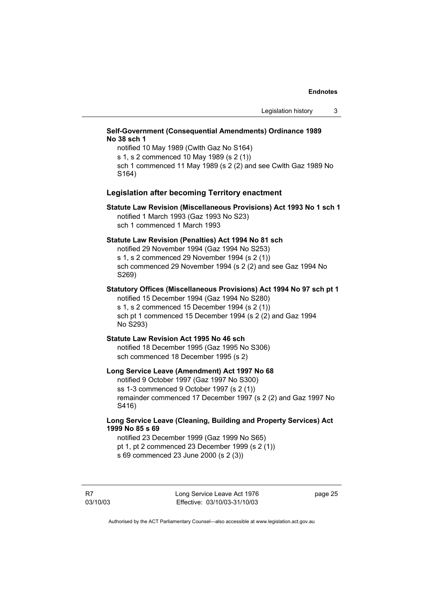#### **Self-Government (Consequential Amendments) Ordinance 1989 No 38 sch 1**

notified 10 May 1989 (Cwlth Gaz No S164) s 1, s 2 commenced 10 May 1989 (s 2 (1)) sch 1 commenced 11 May 1989 (s 2 (2) and see Cwlth Gaz 1989 No S164)

#### **Legislation after becoming Territory enactment**

#### **Statute Law Revision (Miscellaneous Provisions) Act 1993 No 1 sch 1**  notified 1 March 1993 (Gaz 1993 No S23) sch 1 commenced 1 March 1993

#### **Statute Law Revision (Penalties) Act 1994 No 81 sch**

notified 29 November 1994 (Gaz 1994 No S253) s 1, s 2 commenced 29 November 1994 (s 2 (1)) sch commenced 29 November 1994 (s 2 (2) and see Gaz 1994 No S269)

**Statutory Offices (Miscellaneous Provisions) Act 1994 No 97 sch pt 1**  notified 15 December 1994 (Gaz 1994 No S280) s 1, s 2 commenced 15 December 1994 (s 2 (1)) sch pt 1 commenced 15 December 1994 (s 2 (2) and Gaz 1994 No S293)

#### **Statute Law Revision Act 1995 No 46 sch**  notified 18 December 1995 (Gaz 1995 No S306)

sch commenced 18 December 1995 (s 2)

#### **Long Service Leave (Amendment) Act 1997 No 68**

notified 9 October 1997 (Gaz 1997 No S300) ss 1-3 commenced 9 October 1997 (s 2 (1)) remainder commenced 17 December 1997 (s 2 (2) and Gaz 1997 No S416)

#### **Long Service Leave (Cleaning, Building and Property Services) Act 1999 No 85 s 69**

notified 23 December 1999 (Gaz 1999 No S65) pt 1, pt 2 commenced 23 December 1999 (s 2 (1)) s 69 commenced 23 June 2000 (s 2 (3))

R7 03/10/03 Long Service Leave Act 1976 Effective: 03/10/03-31/10/03

page 25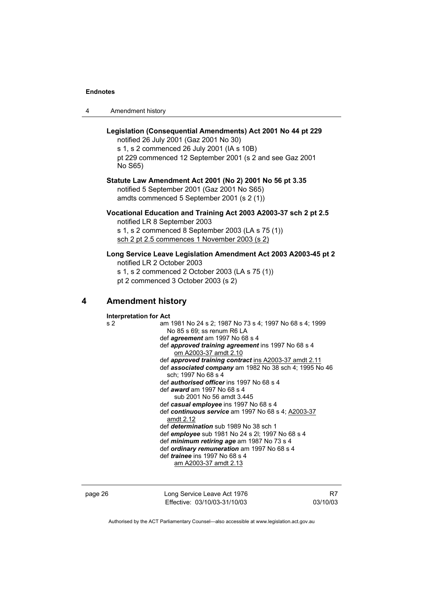|  | Amendment history |
|--|-------------------|
|--|-------------------|

### **Legislation (Consequential Amendments) Act 2001 No 44 pt 229**

notified 26 July 2001 (Gaz 2001 No 30)

s 1, s 2 commenced 26 July 2001 (IA s 10B) pt 229 commenced 12 September 2001 (s 2 and see Gaz 2001 No S65)

#### **Statute Law Amendment Act 2001 (No 2) 2001 No 56 pt 3.35**  notified 5 September 2001 (Gaz 2001 No S65) amdts commenced 5 September 2001 (s 2 (1))

### **Vocational Education and Training Act 2003 A2003-37 sch 2 pt 2.5**  notified LR 8 September 2003

s 1, s 2 commenced 8 September 2003 (LA s 75 (1)) sch 2 pt 2.5 commences 1 November 2003 (s 2)

### **Long Service Leave Legislation Amendment Act 2003 A2003-45 pt 2**

notified LR 2 October 2003 s 1, s 2 commenced 2 October 2003 (LA s 75 (1))

pt 2 commenced 3 October 2003 (s 2)

### **4 Amendment history**

**Interpretation for Act**  s 2 am 1981 No 24 s 2; 1987 No 73 s 4; 1997 No 68 s 4; 1999 No 85 s 69; ss renum R6 LA def *agreement* am 1997 No 68 s 4 def *approved training agreement* ins 1997 No 68 s 4 om A2003-37 amdt 2.10 def *approved training contract* ins A2003-37 amdt 2.11 def *associated company* am 1982 No 38 sch 4; 1995 No 46 sch; 1997 No 68 s 4 def *authorised officer* ins 1997 No 68 s 4 def *award* am 1997 No 68 s 4 sub 2001 No 56 amdt 3.445 def *casual employee* ins 1997 No 68 s 4 def *continuous service* am 1997 No 68 s 4; A2003-37 amdt 2.12 def *determination* sub 1989 No 38 sch 1 def *employee* sub 1981 No 24 s 2l; 1997 No 68 s 4 def *minimum retiring age* am 1987 No 73 s 4 def *ordinary remuneration* am 1997 No 68 s 4 def *trainee* ins 1997 No 68 s 4 am A2003-37 amdt 2.13

| page 26 | Long Service Leave Act 1976  |
|---------|------------------------------|
|         | Effective: 03/10/03-31/10/03 |

R7 03/10/03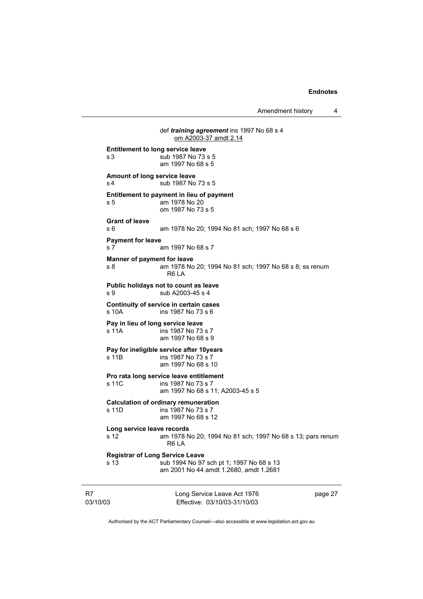Amendment history 4

Long Service Leave Act 1976 def *training agreement* ins 1997 No 68 s 4 om A2003-37 amdt 2.14 **Entitlement to long service leave**  s 3 sub 1987 No 73 s 5 am 1997 No 68 s 5 **Amount of long service leave**  s 4 sub 1987 No 73 s 5 **Entitlement to payment in lieu of payment**  s 5 am 1978 No 20 om 1987 No 73 s 5 **Grant of leave**  s 6 am 1978 No 20; 1994 No 81 sch; 1997 No 68 s 6 **Payment for leave**  s 7 am 1997 No 68 s 7 **Manner of payment for leave**  s 8 am 1978 No 20; 1994 No 81 sch; 1997 No 68 s 8; ss renum R6 LA **Public holidays not to count as leave**  s 9 sub A2003-45 s 4 **Continuity of service in certain cases**  s 10A ins 1987 No 73 s 6 **Pay in lieu of long service leave**  s 11A ins 1987 No 73 s 7 am 1997 No 68 s 9 **Pay for ineligible service after 10years**  s 11B ins 1987 No 73 s 7 am 1997 No 68 s 10 **Pro rata long service leave entitlement**  s 11C ins 1987 No 73 s 7 am 1997 No 68 s 11; A2003-45 s 5 **Calculation of ordinary remuneration**   $ins$  1987 No 73 s 7 am 1997 No 68 s 12 **Long service leave records**  s 12 am 1978 No 20; 1994 No 81 sch; 1997 No 68 s 13; pars renum R6 LA **Registrar of Long Service Leave**  s 13 sub 1994 No 97 sch pt 1; 1997 No 68 s 13 am 2001 No 44 amdt 1.2680, amdt 1.2681

R7 03/10/03

Effective: 03/10/03-31/10/03

page 27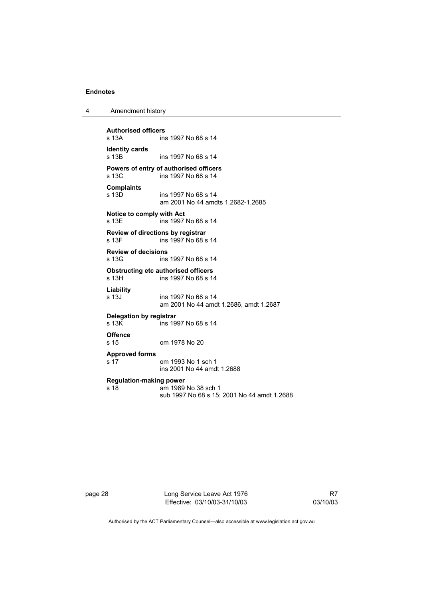| 4 | Amendment history |
|---|-------------------|
|---|-------------------|

**Authorised officers**  ins 1997 No 68 s 14 **Identity cards**  ins 1997 No 68 s 14 **Powers of entry of authorised officers**  ins 1997 No 68 s 14 **Complaints**  s 13D ins 1997 No 68 s 14 am 2001 No 44 amdts 1.2682-1.2685 **Notice to comply with Act**  s 13E ins 1997 No 68 s 14 **Review of directions by registrar**  ins 1997 No 68 s 14 **Review of decisions**  s 13G ins 1997 No 68 s 14 **Obstructing etc authorised officers**<br>s 13H ins 1997 No 68 s 14 ins 1997 No 68 s 14 **Liability**  s 13J ins 1997 No 68 s 14 am 2001 No 44 amdt 1.2686, amdt 1.2687 **Delegation by registrar**   $\overline{\phantom{1}}$  ins 1997 No 68 s 14 **Offence**  s 15 om 1978 No 20 **Approved forms**  s 17 om 1993 No 1 sch 1 ins 2001 No 44 amdt 1.2688 **Regulation-making power**  am 1989 No 38 sch 1 sub 1997 No 68 s 15; 2001 No 44 amdt 1.2688

page 28 Long Service Leave Act 1976 Effective: 03/10/03-31/10/03

R7 03/10/03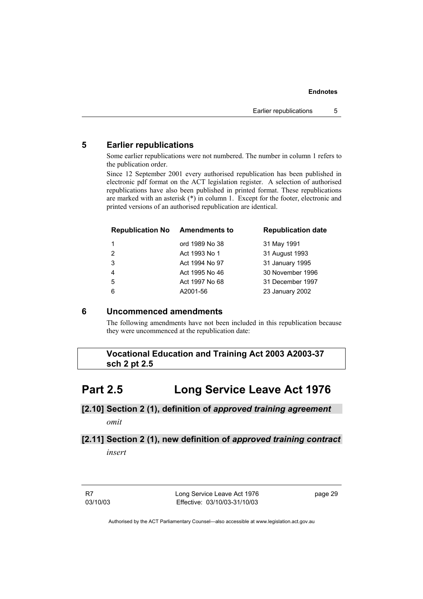### **5 Earlier republications**

Some earlier republications were not numbered. The number in column 1 refers to the publication order.

Since 12 September 2001 every authorised republication has been published in electronic pdf format on the ACT legislation register. A selection of authorised republications have also been published in printed format. These republications are marked with an asterisk (\*) in column 1. Except for the footer, electronic and printed versions of an authorised republication are identical.

| <b>Republication No</b> | <b>Amendments to</b> | <b>Republication date</b> |
|-------------------------|----------------------|---------------------------|
|                         | ord 1989 No 38       | 31 May 1991               |
| 2                       | Act 1993 No 1        | 31 August 1993            |
| 3                       | Act 1994 No 97       | 31 January 1995           |
| $\overline{4}$          | Act 1995 No 46       | 30 November 1996          |
| -5                      | Act 1997 No 68       | 31 December 1997          |
| 6                       | A2001-56             | 23 January 2002           |

### **6 Uncommenced amendments**

The following amendments have not been included in this republication because they were uncommenced at the republication date:

 **Vocational Education and Training Act 2003 A2003-37 sch 2 pt 2.5** 

## **Part 2.5 Long Service Leave Act 1976**

### **[2.10] Section 2 (1), definition of** *approved training agreement omit*

# **[2.11] Section 2 (1), new definition of** *approved training contract*

*insert* 

R7 03/10/03 Long Service Leave Act 1976 Effective: 03/10/03-31/10/03

page 29